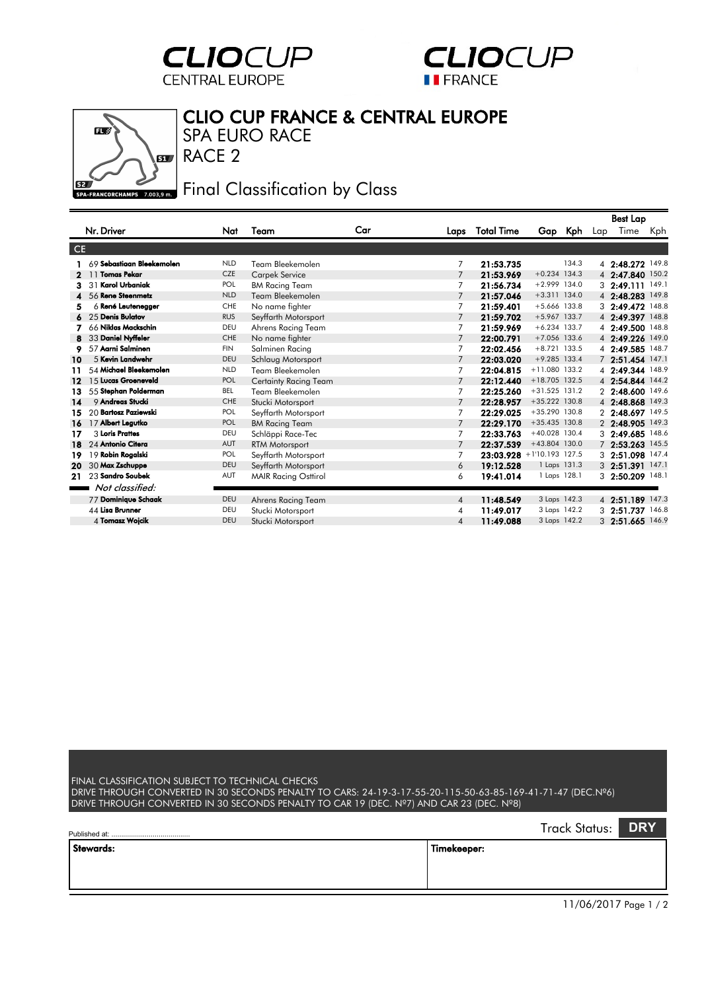



 $\mathbf{E}$ ை 62 SPA-FRANCORCHAMPS 7.003.9 m.

## CLIO CUP FRANCE & CENTRAL EUROPE

RACE 2 SPA EURO RACE

Final Classification by Class

|     |                           |            |                             |     |                |                           |                 |         |     | <b>Best Lap</b>    |     |
|-----|---------------------------|------------|-----------------------------|-----|----------------|---------------------------|-----------------|---------|-----|--------------------|-----|
|     | Nr. Driver                | Nat        | Team                        | Car | Laps           | Total Time                |                 | Gap Kph | Lap | Time               | Kph |
| CE. |                           |            |                             |     |                |                           |                 |         |     |                    |     |
|     | 69 Sebastiaan Bleekemolen | <b>NLD</b> | Team Bleekemolen            |     | $\overline{7}$ | 21:53.735                 |                 | 134.3   |     | 4 2:48.272 149.8   |     |
| 2   | <b>Tomas Pekar</b>        | <b>CZE</b> | <b>Carpek Service</b>       |     | $\overline{7}$ | 21:53.969                 | $+0.234$ 134.3  |         |     | 4 2:47.840 150.2   |     |
| 3   | Karol Urbaniak<br>31      | <b>POL</b> | <b>BM Racing Team</b>       |     | 7              | 21:56.734                 | $+2.999$ 134.0  |         |     | $3$ 2:49.111 149.1 |     |
|     | 56 Rene Steenmetz         | <b>NLD</b> | Team Bleekemolen            |     | $\overline{7}$ | 21:57.046                 | $+3.311$ 134.0  |         |     | 4 2:48.283 149.8   |     |
| 5   | $6$ René Leutenegger      | <b>CHE</b> | No name fighter             |     | 7              | 21:59.401                 | $+5.666$ 133.8  |         |     | 3 2:49.472 148.8   |     |
|     | 25 Denis Bulatov          | <b>RUS</b> | Seyffarth Motorsport        |     | $\overline{7}$ | 21:59.702                 | $+5.967$ 133.7  |         |     | 4 2:49.397 148.8   |     |
|     | 66 Niklas Mackschin       | DEU        | Ahrens Racing Team          |     | $\overline{7}$ | 21:59.969                 | $+6.234$ 133.7  |         |     | 4 2:49.500 148.8   |     |
|     | 33 Daniel Nyffeler        | <b>CHE</b> | No name fighter             |     | $\overline{7}$ | 22:00.791                 | $+7.056$ 133.6  |         |     | 4 2:49.226 149.0   |     |
| 9   | 57 Aarni Salminen         | <b>FIN</b> | Salminen Racing             |     | 7              | 22:02.456                 | $+8.721$ 133.5  |         |     | 4 2:49.585 148.7   |     |
| 10  | 5 Kevin Landwehr          | DEU        | Schlaug Motorsport          |     | $\overline{7}$ | 22:03.020                 | $+9.285$ 133.4  |         |     | 7 2:51.454 147.1   |     |
| 11  | 54 Michael Bleekemolen    | <b>NLD</b> | Team Bleekemolen            |     | 7              | 22:04.815                 | +11.080 133.2   |         |     | 4 2:49.344 148.9   |     |
| 12  | 15 Lucas Groeneveld       | <b>POL</b> | Certainty Racing Team       |     | $\overline{7}$ | 22:12.440                 | $+18.705$ 132.5 |         |     | 4 2:54.844 144.2   |     |
| 13  | 55 Stephan Polderman      | <b>BEL</b> | Team Bleekemolen            |     | 7              | 22:25.260                 | $+31.525$ 131.2 |         |     | 2 2:48.600 149.6   |     |
| 14  | 9 Andreas Stucki          | CHE        | Stucki Motorsport           |     | $\overline{7}$ | 22:28.957                 | $+35.222$ 130.8 |         |     | 4 2:48.868 149.3   |     |
| 15  | 20 Bartosz Paziewski      | POL        | Seyffarth Motorsport        |     | 7              | 22:29.025                 | $+35.290$ 130.8 |         |     | 2 2:48.697 149.5   |     |
| 16  | 17 Albert Legutko         | POL        | <b>BM Racing Team</b>       |     | $\overline{7}$ | 22:29.170                 | $+35.435$ 130.8 |         |     | 2 2:48.905 149.3   |     |
| 17  | 3 Loris Prattes           | DEU        | Schläppi Race-Tec           |     | 7              | 22:33.763                 | $+40.028$ 130.4 |         |     | 3 2:49.685 148.6   |     |
| 18  | 24 Antonio Citera         | <b>AUT</b> | <b>RTM Motorsport</b>       |     | $\overline{7}$ | 22:37.539                 | $+43.804$ 130.0 |         |     | 7 2:53.263 145.5   |     |
| 19  | 19 Robin Rogalski         | POL        | Seyffarth Motorsport        |     | 7              | 23:03.928 +1'10.193 127.5 |                 |         |     | 3 2:51.098 147.4   |     |
| 20  | 30 Max Zschuppe           | DEU        | Seyffarth Motorsport        |     | 6              | 19:12.528                 | 1 Laps 131.3    |         |     | $3$ 2:51.391 147.1 |     |
| 21  | 23 Sandro Soubek          | <b>AUT</b> | <b>MAIR Racing Osttirol</b> |     | 6              | 19:41.014                 | 1 Laps 128.1    |         |     | 3 2:50.209 148.1   |     |
|     | Not classified:           |            |                             |     |                |                           |                 |         |     |                    |     |
|     | 77 Dominique Schaak       | <b>DEU</b> | Ahrens Racing Team          |     | 4              | 11:48.549                 | 3 Laps 142.3    |         |     | 4 2:51.189 147.3   |     |
|     | 44 Lisa Brunner           | DEU        | Stucki Motorsport           |     | 4              | 11:49.017                 | 3 Laps 142.2    |         |     | 3 2:51.737 146.8   |     |
|     | 4 Tomasz Wojcik           | <b>DEU</b> | Stucki Motorsport           |     | 4              | 11:49.088                 | 3 Laps 142.2    |         |     | 3 2:51.665 146.9   |     |

FINAL CLASSIFICATION SUBJECT TO TECHNICAL CHECKS DRIVE THROUGH CONVERTED IN 30 SECONDS PENALTY TO CARS: 24-19-3-17-55-20-115-50-63-85-169-41-71-47 (DEC.Nº6) DRIVE THROUGH CONVERTED IN 30 SECONDS PENALTY TO CAR 19 (DEC. Nº7) AND CAR 23 (DEC. Nº8)

|           |             | <b>Track Status: DRY</b> |  |
|-----------|-------------|--------------------------|--|
| Stewards: | Timekeeper: |                          |  |
|           |             |                          |  |
|           |             |                          |  |